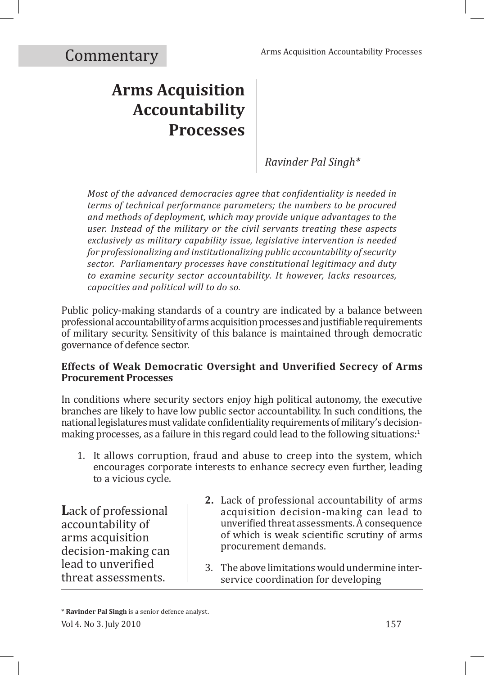# **Arms Acquisition Accountability Processes**

*Ravinder Pal Singh\**

*Most of the advanced democracies agree that confidentiality is needed in terms of technical performance parameters; the numbers to be procured and methods of deployment, which may provide unique advantages to the user. Instead of the military or the civil servants treating these aspects exclusively as military capability issue, legislative intervention is needed for professionalizing and institutionalizing public accountability of security sector. Parliamentary processes have constitutional legitimacy and duty to examine security sector accountability. It however, lacks resources, capacities and political will to do so.*

Public policy-making standards of a country are indicated by a balance between professional accountability of arms acquisition processes and justifiable requirements of military security. Sensitivity of this balance is maintained through democratic governance of defence sector.

# **Effects of Weak Democratic Oversight and Unverified Secrecy of Arms Procurement Processes**

In conditions where security sectors enjoy high political autonomy, the executive branches are likely to have low public sector accountability. In such conditions, the national legislatures must validate confidentiality requirements of military's decisionmaking processes, as a failure in this regard could lead to the following situations: $1$ 

1. It allows corruption, fraud and abuse to creep into the system, which encourages corporate interests to enhance secrecy even further, leading to a vicious cycle.

**L**ack of professional accountability of arms acquisition decision-making can lead to unverified threat assessments.

- **2.** Lack of professional accountability of arms acquisition decision-making can lead to unverified threat assessments. A consequence of which is weak scientific scrutiny of arms procurement demands.
- 3. The above limitations would undermine interservice coordination for developing

Vol 4. No 3. July 2010 157 \* **Ravinder Pal Singh** is a senior defence analyst.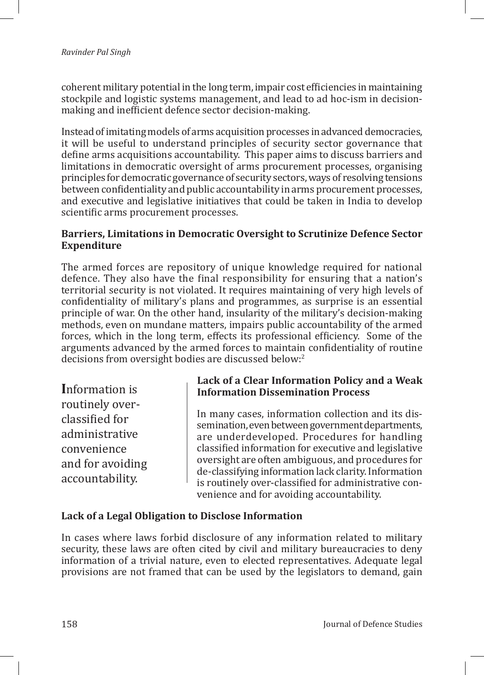coherent military potential in the long term, impair cost efficiencies in maintaining stockpile and logistic systems management, and lead to ad hoc-ism in decisionmaking and inefficient defence sector decision-making.

Instead of imitating models of arms acquisition processes in advanced democracies, it will be useful to understand principles of security sector governance that define arms acquisitions accountability. This paper aims to discuss barriers and limitations in democratic oversight of arms procurement processes, organising principles for democratic governance of security sectors, ways of resolving tensions between confidentiality and public accountability in arms procurement processes, and executive and legislative initiatives that could be taken in India to develop scientific arms procurement processes.

#### **Barriers, Limitations in Democratic Oversight to Scrutinize Defence Sector Expenditure**

The armed forces are repository of unique knowledge required for national defence. They also have the final responsibility for ensuring that a nation's territorial security is not violated. It requires maintaining of very high levels of confidentiality of military's plans and programmes, as surprise is an essential principle of war. On the other hand, insularity of the military's decision-making methods, even on mundane matters, impairs public accountability of the armed forces, which in the long term, effects its professional efficiency. Some of the arguments advanced by the armed forces to maintain confidentiality of routine decisions from oversight bodies are discussed below:<sup>2</sup>

**I**nformation is routinely overclassified for administrative convenience and for avoiding accountability.

# **Lack of a Clear Information Policy and a Weak Information Dissemination Process**

In many cases, information collection and its dissemination, even between government departments, are underdeveloped. Procedures for handling classified information for executive and legislative oversight are often ambiguous, and procedures for de-classifying information lack clarity. Information is routinely over-classified for administrative convenience and for avoiding accountability.

#### **Lack of a Legal Obligation to Disclose Information**

In cases where laws forbid disclosure of any information related to military security, these laws are often cited by civil and military bureaucracies to deny information of a trivial nature, even to elected representatives. Adequate legal provisions are not framed that can be used by the legislators to demand, gain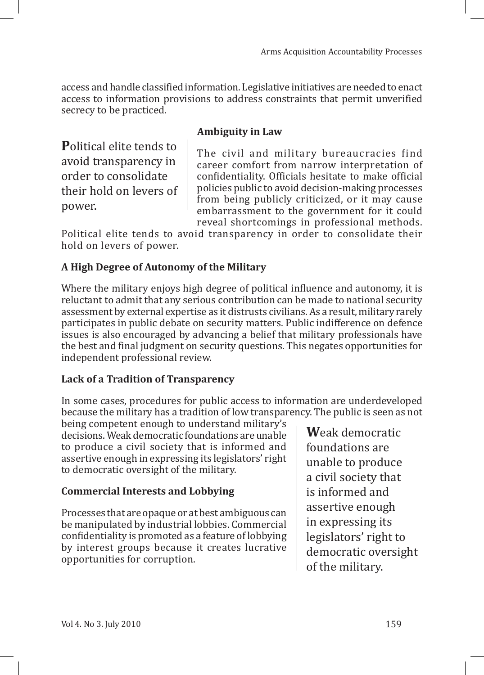access and handle classified information. Legislative initiatives are needed to enact access to information provisions to address constraints that permit unverified secrecy to be practiced.

# **Ambiguity in Law**

**P**olitical elite tends to avoid transparency in order to consolidate their hold on levers of power.

The civil and military bureaucracies find career comfort from narrow interpretation of confidentiality. Officials hesitate to make official policies public to avoid decision-making processes from being publicly criticized, or it may cause embarrassment to the government for it could reveal shortcomings in professional methods.

Political elite tends to avoid transparency in order to consolidate their hold on levers of power.

# **A High Degree of Autonomy of the Military**

Where the military enjoys high degree of political influence and autonomy, it is reluctant to admit that any serious contribution can be made to national security assessment by external expertise as it distrusts civilians. As a result, military rarely participates in public debate on security matters. Public indifference on defence issues is also encouraged by advancing a belief that military professionals have the best and final judgment on security questions. This negates opportunities for independent professional review.

# **Lack of a Tradition of Transparency**

In some cases, procedures for public access to information are underdeveloped because the military has a tradition of low transparency. The public is seen as not

being competent enough to understand military's decisions. Weak democratic foundations are unable to produce a civil society that is informed and assertive enough in expressing its legislators' right to democratic oversight of the military.

# **Commercial Interests and Lobbying**

Processes that are opaque or at best ambiguous can be manipulated by industrial lobbies. Commercial confidentiality is promoted as a feature of lobbying by interest groups because it creates lucrative opportunities for corruption.

**W**eak democratic foundations are unable to produce a civil society that is informed and assertive enough in expressing its legislators' right to democratic oversight of the military.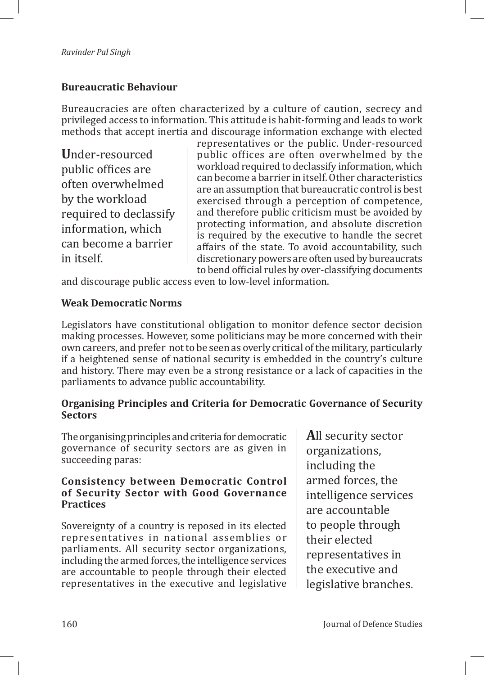# **Bureaucratic Behaviour**

Bureaucracies are often characterized by a culture of caution, secrecy and privileged access to information. This attitude is habit-forming and leads to work methods that accept inertia and discourage information exchange with elected

**U**nder-resourced public offices are often overwhelmed by the workload required to declassify information, which can become a barrier in itself.

representatives or the public. Under-resourced public offices are often overwhelmed by the workload required to declassify information, which can become a barrier in itself. Other characteristics are an assumption that bureaucratic control is best exercised through a perception of competence, and therefore public criticism must be avoided by protecting information, and absolute discretion is required by the executive to handle the secret affairs of the state. To avoid accountability, such discretionary powers are often used by bureaucrats to bend official rules by over-classifying documents

and discourage public access even to low-level information.

#### **Weak Democratic Norms**

Legislators have constitutional obligation to monitor defence sector decision making processes. However, some politicians may be more concerned with their own careers, and prefer not to be seen as overly critical of the military, particularly if a heightened sense of national security is embedded in the country's culture and history. There may even be a strong resistance or a lack of capacities in the parliaments to advance public accountability.

#### **Organising Principles and Criteria for Democratic Governance of Security Sectors**

The organising principles and criteria for democratic governance of security sectors are as given in succeeding paras:

#### **Consistency between Democratic Control of Security Sector with Good Governance Practices**

Sovereignty of a country is reposed in its elected representatives in national assemblies or parliaments. All security sector organizations, including the armed forces, the intelligence services are accountable to people through their elected representatives in the executive and legislative

**A**ll security sector organizations, including the armed forces, the intelligence services are accountable to people through their elected representatives in the executive and legislative branches.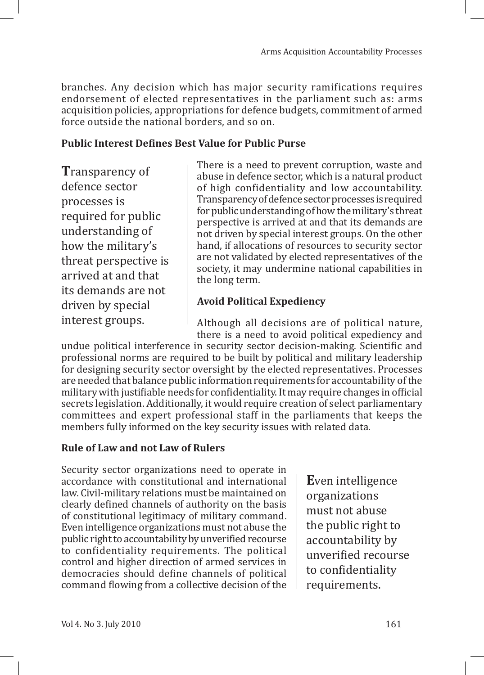branches. Any decision which has major security ramifications requires endorsement of elected representatives in the parliament such as: arms acquisition policies, appropriations for defence budgets, commitment of armed force outside the national borders, and so on.

#### **Public Interest Defines Best Value for Public Purse**

**T**ransparency of defence sector processes is required for public understanding of how the military's threat perspective is arrived at and that its demands are not driven by special interest groups.

There is a need to prevent corruption, waste and abuse in defence sector, which is a natural product of high confidentiality and low accountability. Transparency of defence sector processes is required for public understanding of how the military's threat perspective is arrived at and that its demands are not driven by special interest groups. On the other hand, if allocations of resources to security sector are not validated by elected representatives of the society, it may undermine national capabilities in the long term.

#### **Avoid Political Expediency**

Although all decisions are of political nature, there is a need to avoid political expediency and

undue political interference in security sector decision-making. Scientific and professional norms are required to be built by political and military leadership for designing security sector oversight by the elected representatives. Processes are needed that balance public information requirements for accountability of the military with justifiable needs for confidentiality. It may require changes in official secrets legislation. Additionally, it would require creation of select parliamentary committees and expert professional staff in the parliaments that keeps the members fully informed on the key security issues with related data.

#### **Rule of Law and not Law of Rulers**

Security sector organizations need to operate in accordance with constitutional and international law. Civil-military relations must be maintained on clearly defined channels of authority on the basis of constitutional legitimacy of military command. Even intelligence organizations must not abuse the public right to accountability by unverified recourse to confidentiality requirements. The political control and higher direction of armed services in democracies should define channels of political command flowing from a collective decision of the

**E**ven intelligence organizations must not abuse the public right to accountability by unverified recourse to confidentiality requirements.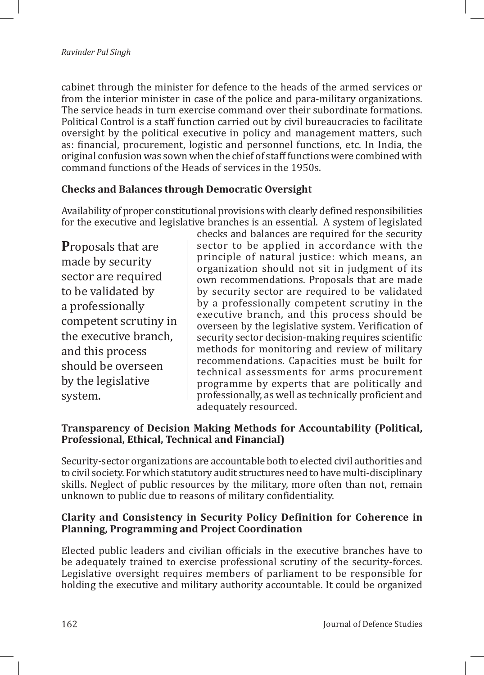cabinet through the minister for defence to the heads of the armed services or from the interior minister in case of the police and para-military organizations. The service heads in turn exercise command over their subordinate formations. Political Control is a staff function carried out by civil bureaucracies to facilitate oversight by the political executive in policy and management matters, such as: financial, procurement, logistic and personnel functions, etc. In India, the original confusion was sown when the chief of staff functions were combined with command functions of the Heads of services in the 1950s.

# **Checks and Balances through Democratic Oversight**

Availability of proper constitutional provisions with clearly defined responsibilities for the executive and legislative branches is an essential. A system of legislated

**P**roposals that are made by security sector are required to be validated by a professionally competent scrutiny in the executive branch, and this process should be overseen by the legislative system.

checks and balances are required for the security sector to be applied in accordance with the principle of natural justice: which means, an organization should not sit in judgment of its own recommendations. Proposals that are made by security sector are required to be validated by a professionally competent scrutiny in the executive branch, and this process should be overseen by the legislative system. Verification of security sector decision-making requires scientific methods for monitoring and review of military recommendations. Capacities must be built for technical assessments for arms procurement programme by experts that are politically and professionally, as well as technically proficient and adequately resourced.

#### **Transparency of Decision Making Methods for Accountability (Political, Professional, Ethical, Technical and Financial)**

Security-sector organizations are accountable both to elected civil authorities and to civil society. For which statutory audit structures need to have multi-disciplinary skills. Neglect of public resources by the military, more often than not, remain unknown to public due to reasons of military confidentiality.

# **Clarity and Consistency in Security Policy Definition for Coherence in Planning, Programming and Project Coordination**

Elected public leaders and civilian officials in the executive branches have to be adequately trained to exercise professional scrutiny of the security-forces. Legislative oversight requires members of parliament to be responsible for holding the executive and military authority accountable. It could be organized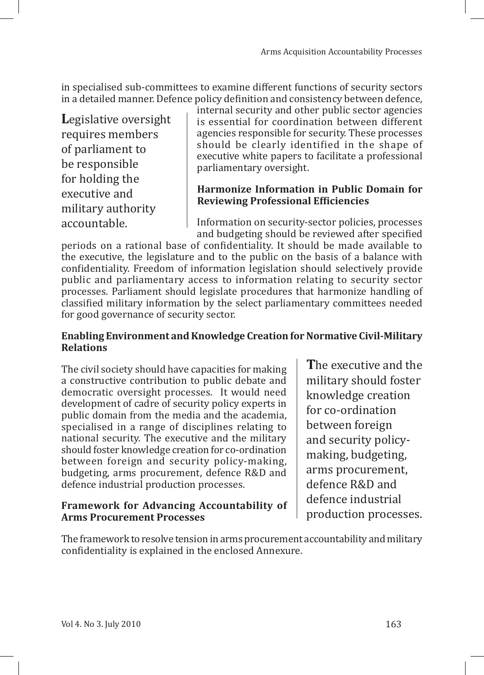in specialised sub-committees to examine different functions of security sectors in a detailed manner. Defence policy definition and consistency between defence,

**L**egislative oversight requires members of parliament to be responsible for holding the executive and military authority accountable.

internal security and other public sector agencies is essential for coordination between different agencies responsible for security. These processes should be clearly identified in the shape of executive white papers to facilitate a professional parliamentary oversight.

# **Harmonize Information in Public Domain for Reviewing Professional Efficiencies**

Information on security-sector policies, processes and budgeting should be reviewed after specified

periods on a rational base of confidentiality. It should be made available to the executive, the legislature and to the public on the basis of a balance with confidentiality. Freedom of information legislation should selectively provide public and parliamentary access to information relating to security sector processes. Parliament should legislate procedures that harmonize handling of classified military information by the select parliamentary committees needed for good governance of security sector.

## **Enabling Environment and Knowledge Creation for Normative Civil-Military Relations**

The civil society should have capacities for making a constructive contribution to public debate and democratic oversight processes. It would need development of cadre of security policy experts in public domain from the media and the academia, specialised in a range of disciplines relating to national security. The executive and the military should foster knowledge creation for co-ordination between foreign and security policy-making, budgeting, arms procurement, defence R&D and defence industrial production processes.

# **Framework for Advancing Accountability of Arms Procurement Processes**

**T**he executive and the military should foster knowledge creation for co-ordination between foreign and security policymaking, budgeting, arms procurement, defence R&D and defence industrial production processes.

The framework to resolve tension in arms procurement accountability and military confidentiality is explained in the enclosed Annexure.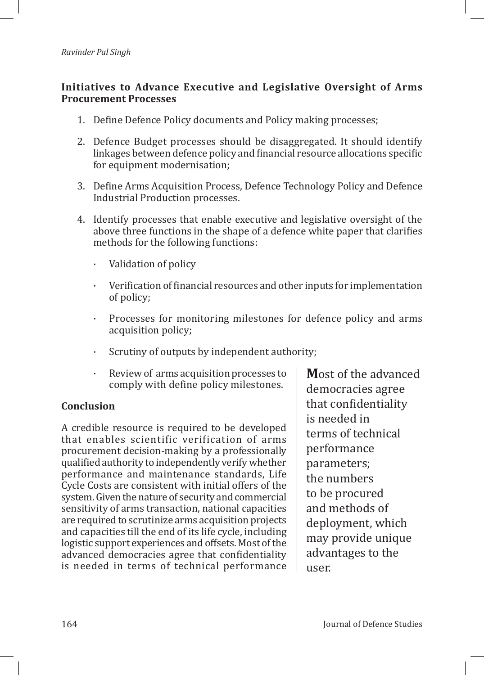# **Initiatives to Advance Executive and Legislative Oversight of Arms Procurement Processes**

- 1. Define Defence Policy documents and Policy making processes;
- 2. Defence Budget processes should be disaggregated. It should identify linkages between defence policy and financial resource allocations specific for equipment modernisation;
- 3. Define Arms Acquisition Process, Defence Technology Policy and Defence Industrial Production processes.
- 4. Identify processes that enable executive and legislative oversight of the above three functions in the shape of a defence white paper that clarifies methods for the following functions:
	- · Validation of policy
	- · Verification of financial resources and other inputs for implementation of policy;
	- Processes for monitoring milestones for defence policy and arms acquisition policy;
	- Scrutiny of outputs by independent authority;
	- Review of arms acquisition processes to comply with define policy milestones.

#### **Conclusion**

A credible resource is required to be developed that enables scientific verification of arms procurement decision-making by a professionally qualified authority to independently verify whether performance and maintenance standards, Life Cycle Costs are consistent with initial offers of the system. Given the nature of security and commercial sensitivity of arms transaction, national capacities are required to scrutinize arms acquisition projects and capacities till the end of its life cycle, including logistic support experiences and offsets. Most of the advanced democracies agree that confidentiality is needed in terms of technical performance **M**ost of the advanced democracies agree that confidentiality is needed in terms of technical performance parameters; the numbers to be procured and methods of deployment, which may provide unique advantages to the user.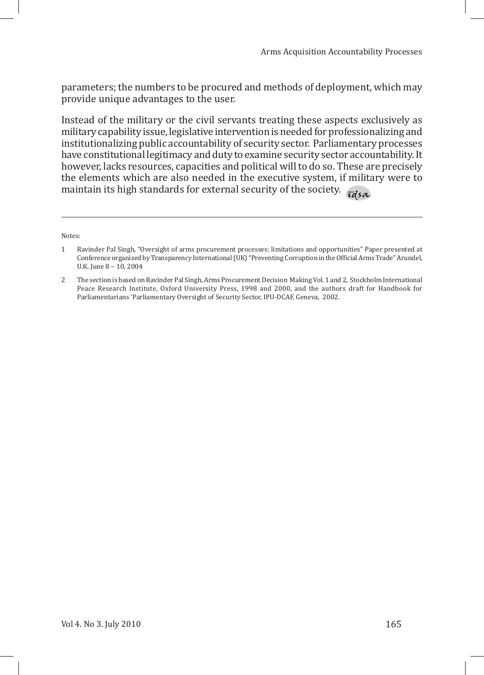parameters; the numbers to be procured and methods of deployment, which may provide unique advantages to the user.

Instead of the military or the civil servants treating these aspects exclusively as military capability issue, legislative intervention is needed for professionalizing and institutionalizing public accountability of security sector. Parliamentary processes have constitutional legitimacy and duty to examine security sector accountability. It however, lacks resources, capacities and political will to do so. These are precisely the elements which are also needed in the executive system, if military were to maintain its high standards for external security of the society.  $\tau ds$ 

Notes:

<sup>1</sup>Ravinder Pal Singh, "Oversight of arms procurement processes: limitations and opportunities" Paper presented at Conference organized by Transparency International (UK) "Preventing Corruption in the Official Arms Trade" Arundel, U.K. June 8 – 10, 2004

<sup>2</sup> The section is based on Ravinder Pal Singh, Arms Procurement Decision Making Vol. 1 and 2, Stockholm International Peace Research Institute, Oxford University Press, 1998 and 2000, and the authors draft for Handbook for Parliamentarians 'Parliamentary Oversight of Security Sector, IPU-DCAF, Geneva, 2002.